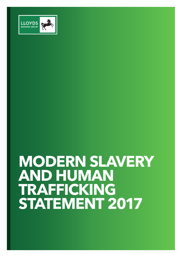

# **MODERN SLAVERY AND HUMAN TRAFFICKING STATEMENT 2017**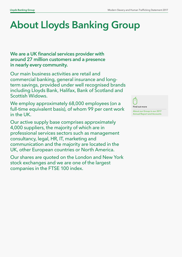# About Lloyds Banking Group

We are a UK financial services provider with around 27 million customers and a presence in nearly every community.

Our main business activities are retail and commercial banking, general insurance and longterm savings, provided under well recognised brands including Lloyds Bank, Halifax, Bank of Scotland and Scottish Widows.

We employ approximately 68,000 employees (on a full-time equivalent basis), of whom 99 per cent work in the UK.

Our active supply base comprises approximately 4,000 suppliers, the majority of which are in professional services sectors such as management consultancy, legal, HR, IT, marketing and communication and the majority are located in the UK, other European countries or North America.

Our shares are quoted on the London and New York stock exchanges and we are one of the largest companies in the FTSE 100 index.



[About our Group in our 2017](http://www.lloydsbankinggroup.com/investors/annual-reports/download-centre/)  [Annual Report and Accounts](http://www.lloydsbankinggroup.com/investors/annual-reports/download-centre/)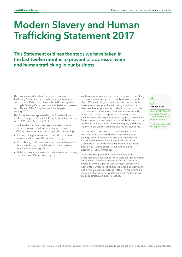### Modern Slavery and Human Trafficking Statement 2017

This Statement outlines the steps we have taken in the last twelve months to prevent or address slavery and human trafficking in our business.

This is our second Modern Slavery and Human Trafficking Statement<sup>1</sup>. It is made pursuant to section 54(1) of the UK's Modern Slavery Act 2015 and applies to Lloyds Banking Group plc, its subsidiaries, employees and officers of the Group for the financial year ending 2017.

This Statement was approved by the Boards of Lloyds Banking Group plc, Lloyds Bank plc, Bank of Scotland plc and HBOS plc in February 2018.

It outlines the steps we have taken in the last twelve months to prevent or address slavery and human trafficking in our business and supply chain, including:

- Raising colleague awareness of the risks of modern slavery and human trafficking (see page 4)
- Contributing to efforts to combat modern slavery and human trafficking through financial crime prevention mechanisms (see page 5)
- Building on our processes that relate to modern slavery and human trafficking (see page 6)

We have a zero tolerance approach to slavery, trafficking or forced labour in any part of our business or supply chain. We aim to align our activities and policies with international best practice and recognised standards. We are either a signatory to, or abide by, the principles of a number of international and national codes and standards relating to responsible business practice. These include: The Equator Principles, the UN Principles for Responsible Investment, the UN Global Compact, the UN Universal Declaration of Human Rights, and the ILO (International Labour Organisation) labour standards.

Our corporate governance structure ensures that colleagues are supported to work responsibly and manage risk effectively. This structure includes our Board and our Board-level Responsible Business Committee. It extends to every part of our business through our Group Executive Committee and Executive-level Committees.

Group Sourcing provides the framework, tools, processes and governance for all Supplier Management employees. This specialist capability and delivery is overseen by the Supplier Management Governance Committee, which is chaired by the Group Sourcing and Supply Chain Management Director. The Committee is made up of representatives from across the Group and embeds strategy and best practice.



[Read our UN Global](https://www.unglobalcompact.org/what-is-gc/participants/78301-Lloyds-Banking-Group) 

[Compact Annual](https://www.unglobalcompact.org/what-is-gc/participants/78301-Lloyds-Banking-Group)  [Communication on](https://www.unglobalcompact.org/what-is-gc/participants/78301-Lloyds-Banking-Group)  [Progress online](https://www.unglobalcompact.org/what-is-gc/participants/78301-Lloyds-Banking-Group)

[Read our annual UN](https://www.unpri.org/organisation/lloyds-banking-group-144084)  [PRI Report online](https://www.unpri.org/organisation/lloyds-banking-group-144084)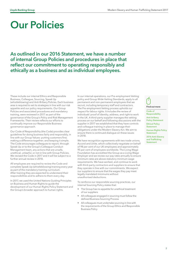## Our Policies

As outlined in our 2016 Statement, we have a number of internal Group Policies and procedures in place that reflect our commitment to operating responsibly and ethically as a business and as individual employees.

These include our internal Ethics and Responsible Business, Colleague, Sourcing, Speak Up (whistleblowing) and Anti-Bribery Policies. Each business area is required to set its strategies in line with our risk appetite and our policy requirements. Our Group Policies and associated procedures and mandatory training, were reviewed in 2017 as part of the governance of the Group's Policy and Risk Management Frameworks. Their review reflects our efforts to continually improve our Responsible Business governance approach.

Our Code of Responsibility (the Code) provides clear guidelines for doing business fairly and responsibly, in line with our Group Values: putting customers first; making a difference together; and keeping it simple. The Code encourages colleagues to report, through Speak Up or to the Group's Colleague Conduct Management team, any actions that are unsafe, unethical, unlawful, or not in line with Group Policies. We revised the Code in 2017 and it will be subject to a further annual review in 2018.

All employees are required to review the Code and complete Speak Up (whistleblowing) training every year as part of the mandatory training curriculum. After training they are expected to understand their responsibilities and to adhere to them every day.

In 2017, we used the United Nations Guiding Principles on Business and Human Rights to guide the development of our Human Rights Policy Statement and the Group's broader approach to human rights.

In our internal operations, our Pre-employment Vetting policy and Group Wide Vetting Standards, apply to all permanent and non-permanent employees that we recruit, including temporary staff and contractors. The Pre-employment Vetting process upholds our respect for labour rights. It includes the review of individuals' proof of identity, address, and right to work in the UK. A third-party supplier manages the vetting process on our behalf and following discussions with the supplier in 2017 we established that they have controls and colleague training in place to manage their obligations under the Modern Slavery Act. We aim to ensure there is continued dialogue on these issues in 2018.

We have recognition agreements with two trade unions, Accord and Unite, which collectively negotiate on behalf of 98 per cent of our UK employees and approximately 95 per cent of employees worldwide. The Living Wage Foundation has accredited the Group as a Living Wage Employer and we review our pay rates annually to ensure minimum rates are above statutory minimum wage requirements. We have worked, and continue to work with third-party contractors and suppliers to ensure that they operate in line with our commitments. We expect our suppliers to ensure that the wages they pay meet legally mandated minimums without unauthorised deductions.

To reinforce our responsible sourcing practices, our internal Sourcing Policy states that:

- The Group has no appetite for unethical treatment of our suppliers
- All colleagues engaged in sourcing must follow the defined Business Sourcing Process
- All colleagues must undertake sourcing in line with the requirements of the Group Ethics and Responsible Business Policy



[Code of](http://www.lloydsbankinggroup.com/globalassets/our-group/responsible-business/helping-britain-prosper-plan/2018-21_2-lbg_code_of_responsibility_external.pdf)  [Responsibility](http://www.lloydsbankinggroup.com/globalassets/our-group/responsible-business/helping-britain-prosper-plan/2018-21_2-lbg_code_of_responsibility_external.pdf) [Anti-bribery](http://www.lloydsbankinggroup.com/globalassets/our-group/responsible-business/download-centre/helping-britain-prosper-2017/lbg_-anti-bribery_policy_statement_june-2017.pdf)  [Policy Statement](http://www.lloydsbankinggroup.com/globalassets/our-group/responsible-business/download-centre/helping-britain-prosper-2017/lbg_-anti-bribery_policy_statement_june-2017.pdf) [Ethical Policy](http://www.lloydsbankinggroup.com/globalassets/our-group/responsible-business/download-centre/ethical-policy-statement_november15.pdf)  **[Statement](http://www.lloydsbankinggroup.com/globalassets/our-group/responsible-business/download-centre/ethical-policy-statement_november15.pdf)** [Human Rights Policy](http://www.lloydsbankinggroup.com/globalassets/our-group/responsible-business/reporting-centre/humanrightspolicystatement-180222.pdf)  [Statement](http://www.lloydsbankinggroup.com/globalassets/our-group/responsible-business/reporting-centre/humanrightspolicystatement-180222.pdf) [2016 Anti-Slavery](http://www.lloydsbankinggroup.com/globalassets/our-group/responsible-business/download-centre/helping-britain-prosper-2017/20759_lbg_modernslavery_final-june-2017.pdf)  [and Trafficking](http://www.lloydsbankinggroup.com/globalassets/our-group/responsible-business/download-centre/helping-britain-prosper-2017/20759_lbg_modernslavery_final-june-2017.pdf)  **[Statement](http://www.lloydsbankinggroup.com/globalassets/our-group/responsible-business/download-centre/helping-britain-prosper-2017/20759_lbg_modernslavery_final-june-2017.pdf)**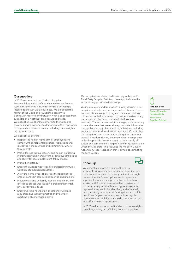#### Our suppliers

In 2017 we amended our Code of Supplier Responsibility, which defines what we expect from our suppliers in order to ensure responsible sourcing is integral to the way we do business. We simplified the format of the Code and revised the content to distinguish more clearly between what is expected from suppliers and what they are encouraged to do. We expect all suppliers to conform to the Code and provide us with evidence to demonstrate their approach to responsible business issues, including human rights and labour issues.

We expect suppliers to:

- Respect the human rights of their employees and comply with all relevant legislation, regulations and directives in the countries and communities where they operate
- Prohibit forced labour (slavery) and human trafficking in their supply chain and give their employees the right and ability to leave employment if they choose
- Prohibit child labour
- Ensure that wages meet legally mandated minimums without unauthorised deductions
- Allow their employees to exercise the legal right to organise and join associations (such as labour unions)
- Provide clear and uniformly applied disciplinary and grievance procedures including prohibiting mental, physical or verbal abuse
- Ensure working hours are in accordance with local regulation and industry practice and voluntary overtime is at a manageable level

Our suppliers are also asked to comply with specific Third Party Supplier Policies, where applicable to the services they provide to the Group.

We include our standard modern slavery clauses in our supplier contracts and purchase orders' standard terms and conditions. We go through an escalation and sign off process with the business to consider the risks of any particular supply contract from which these are removed. These clauses seek to manage modern slavery risks and ensure that we receive appropriate information on suppliers' supply chains and organisations, including copies of their modern slavery statements, if applicable. Our suppliers have a contractual obligation under our standard modern slavery clauses to ensure compliance with all applicable laws that apply to their supply of goods and services to us, regardless of the jurisdiction in which they operate. This includes the Modern Slavery Act and any local legislation that is aimed at combating modern slavery.

#### Speak-up

We expect our suppliers to have their own whistleblowing policy and facility but suppliers and their workers can also report any incidents through our confidential Speak Up Line. An independent supplier, Expolink, manages the line and we have worked with Expolink to ensure that, if instances of modern slavery or other human rights abuses are reported, they would be identified, and effectively and sensitively investigated. During the course of the next financial year, we intend to continue regular communication with Expolink to discuss these issues, and offer training if appropriate.

In 2017 we had no reported incidents of human rights breaches, slavery or trafficking from our suppliers.



3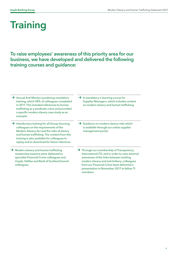## **Training**

To raise employees' awareness of this priority area for our business, we have developed and delivered the following training courses and guidance:

- → Annual Anti Money Laundering mandatory training, which 98% of colleagues completed in 2017. This included references to human trafficking as a predicate crime and provided a specific modern slavery case study as an example.
- → Introductory training for all Group Sourcing colleagues on the requirements of the Modern Slavery Act and the risks of slavery and human trafficking. The content from this training is also available for colleagues to replay and to download for future reference.
- **→** Modern slavery and human trafficking masterclass sessions were delivered to specialist Financial Crime colleagues and Lloyds, Halifax and Bank of Scotland branch colleagues.
- **→** A mandatory e-learning course for Supplier Managers, which includes content on modern slavery and human trafficking.
- → Guidance on modern slavery risks which is available through our online supplier management portal.
- **→** Through our membership of Transparency International (TI), and in order to raise external awareness of the links between tackling modern slavery and anti-bribery, colleagues from our Financial Crime team delivered a presentation in November 2017 to fellow TI members.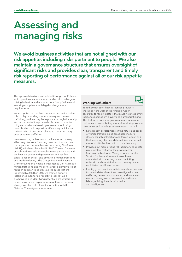### Assessing and managing risks

We avoid business activities that are not aligned with our risk appetite, including risks pertinent to people. We also maintain a governance structure that ensures oversight of significant risks and provides clear, transparent and timely risk reporting of performance against all of our risk appetite measures.

This approach to risk is embedded through our Policies which provide clear minimum standards for colleagues, driving behaviours which reflect our Group Values and ensuring compliance with legal and regulatory requirements.

We recognise that the financial sector has an important role to play in tackling modern slavery and human trafficking, as there may be exposure through the receipt and movement of the proceeds of crime. In order to mitigate this risk we have implemented monitoring controls which will help to identify activity which may be indicative of proceeds relating to modern slavery and/ or human trafficking.

We are working with others to tackle modern slavery effectively. We are a founding member of, and active participant in, the Joint Money Laundering Taskforce (JMLIT), which was launched in 2015. The taskforce was established to tackle financial crime in partnership with the financial sector and government and has five operational priorities, one of which is human trafficking and modern slavery. The Group Fraud and Financial Crime Prevention's Financial Intelligence Unit has made human trafficking and modern slavery a primary area of focus. In addition to addressing the cases that are identified by JMLIT, in 2017 we created our own intelligence monitoring report in order to take a proactive role in identifying potential perpetrators and/ or victims of sexual exploitation, as a form of modern slavery. We share all relevant information with the National Crime Agency as required.

#### Working with others



Together with other financial service providers, we support the work of the Financial Action Taskforce to rank indicators that could help to identify incidences of modern slavery and human trafficking. The Taskforce is an intergovernmental organisation that focuses on combating money laundering. We are providing input to help produce a report that will:

- Detail recent developments in the nature and scope of human trafficking, and associated modern slavery, sexual exploitation, and forced labour, and the laundering of proceeds from this crime, as well as any identifiable links with terrorist financing.
- Provide new, more precise risk indicators: to update risk indicators that assist the private sector (particularly, banks and Money or Value Transfer Services) in financial transactions or flows associated with detecting human trafficking networks, and associated modern slavery, sexual exploitation, and forced labour.
- Identify good practices: initiatives and mechanisms to detect, deter, disrupt, and investigate human trafficking networks and offences, and associated modern slavery, sexual exploitation, and forced labour, utilising financial information and intelligence.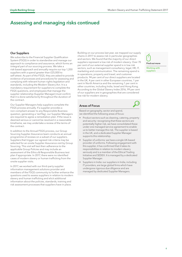### Assessing and managing risks continued

#### Our Suppliers

We subscribe to the Financial Supplier Qualification System (FSQS) in order to standardise and manage our approach to compliance and assurance, which forms an iintegral part of our sourcing process. We take a risk-based approach and annually require our top 1,200 suppliers with a spend greater than £25,000 to self-attest. As part of the FSQS, they are asked to provide evidence of processes and procedures for assessing and complying with relevant human rights legislation and standards, including the Modern Slavery Act. It is a mandatory requirement for suppliers to complete the FSQS questions, and employees that manage the supplier relationship (Supplier Manager) must confirm that it is done satisfactorily throughout the duration of the contract.

Our Supplier Managers help suppliers complete the FSQS process annually. If a supplier provides a non-compliant answer to any Responsible Business question, generating a 'red flag', our Supplier Managers are required to agree a remediation plan. If the issue is deemed serious or cannot be resolved in a reasonable timeframe, we may undertake a review of the terms of the contract.

In addition to the Annual FSQS process, our Group Sourcing Supplier Assurance team conducts an annual programme of reviews on a subset of our suppliers. Suppliers that trigger our agreed risk criteria may be selected for an onsite Supplier Assurance visit by Group Sourcing. This visit will test their adherence to the applicable Group Policies and may include an assessment of the Ethics & Responsible Business test plan if appropriate. In 2017, there were no identified cases of modern slavery or human trafficking from the onsite supplier visits.

In 2017, we worked with our third-party supplier information management solutions provider and members of the FSQS community to further enhance the questions used to assess suppliers in relation to modern slavery and human trafficking and elicit additional information about the policies, standards, training and risk assessment processes that suppliers have in place.

Building on our process last year, we mapped our supply chains in 2017 to assess risk in particular geographies and sectors. We found that the majority of our direct suppliers represent a low risk of modern slavery. Over 70 per cent of our external supplier spend is in low risk sectors, such as management consultancy, legal, HR, IT, marketing and communication. The remaining spend is in operations, property and travel, and customer products. 94 per cent of our direct suppliers are located in the UK, 4 per cent in other European countries, 1 per cent in North America and the remaining 1 per cent in other countries, including India, Israel and Hong Kong. According to the Global Slavery Index 2016, 99 per cent of our suppliers are in geographies that are considered low risk for modern slavery.



Based on geography, sector and spend, we identified the following areas of focus:

- Product sectors such as cleaning, catering, property and security: recognising that these sectors are potentially higher risk, we have consolidated these under one managed service agreement to enable us to better manage this risk. The supplier is based in the UK, and a dedicated Supplier Manager supports this relationship.
- Supplier of uniforms: we have a single UK-based provider of uniforms. Following engagement with this supplier, it has confirmed that it takes its responsibilities in relation to modern slavery seriously and is a member of the Ethical Trading Initiative and SEDEX. It is managed by a dedicated Supplier Manager.
- Suppliers in India: our suppliers in India, including IT providers, are large global firms which have undergone rigorous due diligence and are managed by dedicated Supplier Managers.

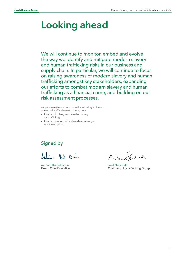### Looking ahead

We will continue to monitor, embed and evolve the way we identify and mitigate modern slavery and human trafficking risks in our business and supply chain. In particular, we will continue to focus on raising awareness of modern slavery and human trafficking amongst key stakeholders, expanding our efforts to combat modern slavery and human trafficking as a financial crime, and building on our risk assessment processes.

We plan to review and report on the following indicators to assess the effectiveness of our actions:

- Number of colleagues trained on slavery and trafficking.
- Number of reports of modern slavery through our Speak Up line.

### Signed by

Artinia Hart Osanis

António Horta-Osório Group Chief Executive

Lord Blackwell Chairman, Lloyds Banking Group